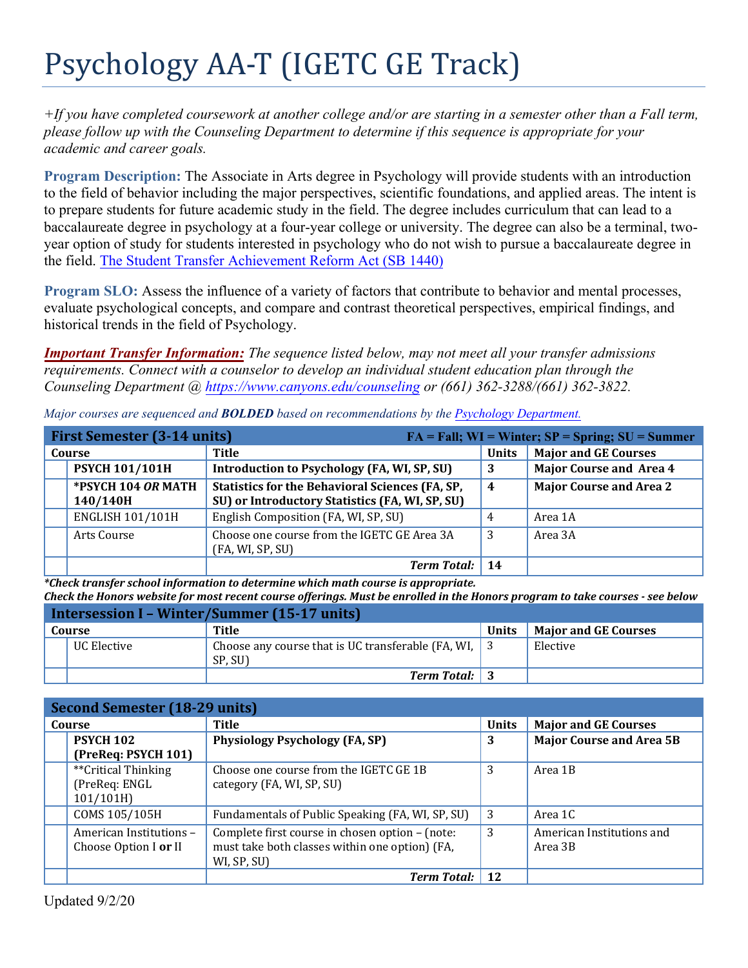# Psychology AA-T (IGETC GE Track)

*+If you have completed coursework at another college and/or are starting in a semester other than a Fall term, please follow up with the Counseling Department to determine if this sequence is appropriate for your academic and career goals.* 

**Program Description:** The Associate in Arts degree in Psychology will provide students with an introduction to the field of behavior including the major perspectives, scientific foundations, and applied areas. The intent is to prepare students for future academic study in the field. The degree includes curriculum that can lead to a baccalaureate degree in psychology at a four-year college or university. The degree can also be a terminal, twoyear option of study for students interested in psychology who do not wish to pursue a baccalaureate degree in the field. [The Student Transfer Achievement Reform Act \(SB 1440\)](https://www2.calstate.edu/apply/transfer/Pages/ccc-associate-degree-for-transfer.aspx) 

**Program SLO:** Assess the influence of a variety of factors that contribute to behavior and mental processes, evaluate psychological concepts, and compare and contrast theoretical perspectives, empirical findings, and historical trends in the field of Psychology.

*Important Transfer Information: The sequence listed below, may not meet all your transfer admissions requirements. Connect with a counselor to develop an individual student education plan through the Counseling Department [@ https://www.canyons.edu/counseling](https://www.canyons.edu/counseling) or (661) 362-3288/(661) 362-3822.* 

| <b>First Semester (3-14 units)</b><br>$FA = Fall; WI = Winter; SP = Spring; SU = Summer$ |                                                                                                           |              |                                |
|------------------------------------------------------------------------------------------|-----------------------------------------------------------------------------------------------------------|--------------|--------------------------------|
| Course                                                                                   | Title                                                                                                     | <b>Units</b> | <b>Major and GE Courses</b>    |
| <b>PSYCH 101/101H</b>                                                                    | Introduction to Psychology (FA, WI, SP, SU)                                                               | -3           | <b>Major Course and Area 4</b> |
| *PSYCH 104 OR MATH<br>140/140H                                                           | <b>Statistics for the Behavioral Sciences (FA, SP,</b><br>SU) or Introductory Statistics (FA, WI, SP, SU) | -4           | <b>Major Course and Area 2</b> |
| <b>ENGLISH 101/101H</b>                                                                  | English Composition (FA, WI, SP, SU)                                                                      | 4            | Area 1A                        |
| Arts Course                                                                              | Choose one course from the IGETC GE Area 3A<br>(FA, WI, SP, SU)                                           | -3           | Area 3A                        |
|                                                                                          | <b>Term Total:</b>                                                                                        | 14           |                                |

*Major courses are sequenced and BOLDED based on recommendations by the [Psychology Department.](http://www.canyons.edu/psychology)* 

*\*Check transfer school information to determine which math course is appropriate. Check the Honors website for most recent course offerings. Must be enrolled in the Honors program to take courses - see below* 

| Intersession I - Winter/Summer (15-17 units) |             |                                                                             |              |                             |
|----------------------------------------------|-------------|-----------------------------------------------------------------------------|--------------|-----------------------------|
| Course                                       |             | Title                                                                       | <b>Units</b> | <b>Major and GE Courses</b> |
|                                              | UC Elective | Choose any course that is UC transferable (FA, WI, $\parallel$ 3<br>SP. SU) |              | Elective                    |
|                                              |             | <b>Term Total:</b> 3                                                        |              |                             |

| <b>Second Semester (18-29 units)</b> |                                                  |              |                                 |
|--------------------------------------|--------------------------------------------------|--------------|---------------------------------|
| Course                               | <b>Title</b>                                     | <b>Units</b> | <b>Major and GE Courses</b>     |
| <b>PSYCH 102</b>                     | <b>Physiology Psychology (FA, SP)</b>            | 3            | <b>Major Course and Area 5B</b> |
| (PreReq: PSYCH 101)                  |                                                  |              |                                 |
| **Critical Thinking                  | Choose one course from the IGETC GE 1B           | 3            | Area 1B                         |
| (PreReq: ENGL                        | category (FA, WI, SP, SU)                        |              |                                 |
| 101/101H                             |                                                  |              |                                 |
| COMS 105/105H                        | Fundamentals of Public Speaking (FA, WI, SP, SU) | 3            | Area 1C                         |
| American Institutions -              | Complete first course in chosen option - (note:  | 3            | American Institutions and       |
| Choose Option I or II                | must take both classes within one option) (FA,   |              | Area 3B                         |
|                                      | WI, SP, SU)                                      |              |                                 |
|                                      | <b>Term Total:</b>                               | 12           |                                 |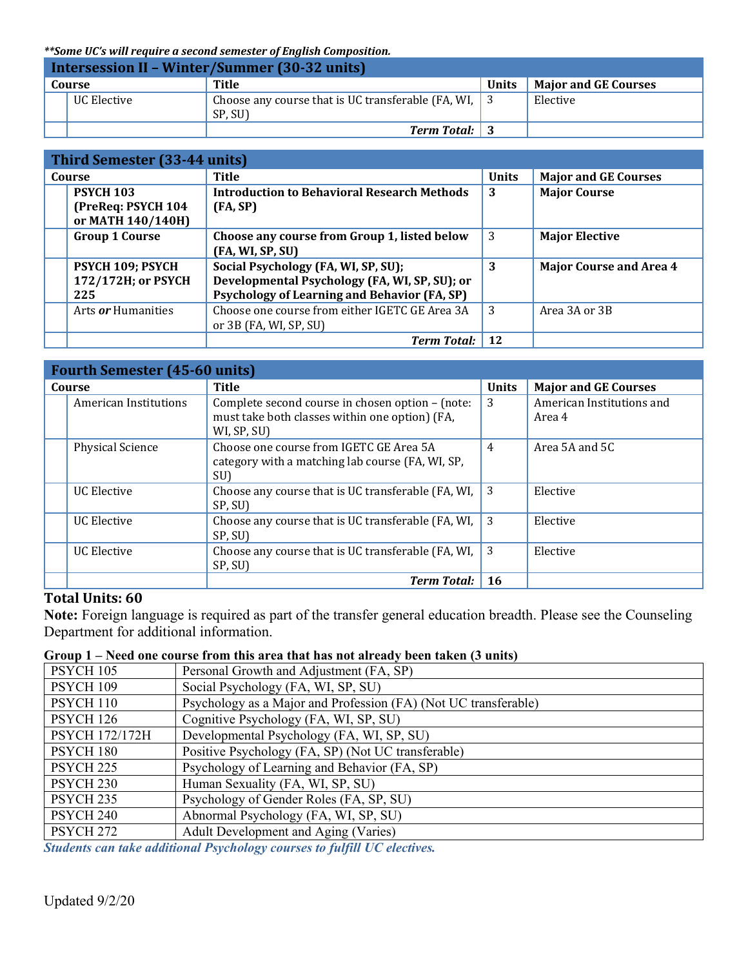*\*\*Some UC's will require a second semester of English Composition.* 

| <b>Intersession II - Winter/Summer (30-32 units)</b> |             |                                                                             |       |                             |
|------------------------------------------------------|-------------|-----------------------------------------------------------------------------|-------|-----------------------------|
|                                                      | Course      | Title                                                                       | Units | <b>Major and GE Courses</b> |
|                                                      | UC Elective | Choose any course that is UC transferable (FA, WI, $\parallel$ 3<br>SP. SU) |       | Elective                    |
|                                                      |             | <b>Term Total:</b> 3                                                        |       |                             |

| Third Semester (33-44 units)                                |                                                                                                                                             |              |                                |
|-------------------------------------------------------------|---------------------------------------------------------------------------------------------------------------------------------------------|--------------|--------------------------------|
| Course                                                      | <b>Title</b>                                                                                                                                | <b>Units</b> | <b>Major and GE Courses</b>    |
| <b>PSYCH 103</b><br>(PreReq: PSYCH 104<br>or MATH 140/140H) | <b>Introduction to Behavioral Research Methods</b><br>(FA, SP)                                                                              | 3            | <b>Major Course</b>            |
| <b>Group 1 Course</b>                                       | Choose any course from Group 1, listed below<br>(FA, WI, SP, SU)                                                                            | 3            | <b>Major Elective</b>          |
| PSYCH 109; PSYCH<br>172/172H; or PSYCH<br>225               | Social Psychology (FA, WI, SP, SU);<br>Developmental Psychology (FA, WI, SP, SU); or<br><b>Psychology of Learning and Behavior (FA, SP)</b> | 3            | <b>Major Course and Area 4</b> |
| Arts <i>or</i> Humanities                                   | Choose one course from either IGETC GE Area 3A<br>or $3B$ (FA, WI, SP, SU)                                                                  | 3            | Area 3A or 3B                  |
|                                                             | <b>Term Total:</b>                                                                                                                          | 12           |                                |

| <b>Fourth Semester (45-60 units)</b> |                                                                                                                   |                |                                     |
|--------------------------------------|-------------------------------------------------------------------------------------------------------------------|----------------|-------------------------------------|
| Course                               | Title                                                                                                             | <b>Units</b>   | <b>Major and GE Courses</b>         |
| American Institutions                | Complete second course in chosen option - (note:<br>must take both classes within one option) (FA,<br>WI, SP, SU) | 3              | American Institutions and<br>Area 4 |
| <b>Physical Science</b>              | Choose one course from IGETC GE Area 5A<br>category with a matching lab course (FA, WI, SP,<br>SU)                | $\overline{4}$ | Area 5A and 5C                      |
| <b>UC Elective</b>                   | Choose any course that is UC transferable (FA, WI,<br>SP, SU)                                                     | 3              | Elective                            |
| <b>UC</b> Elective                   | Choose any course that is UC transferable (FA, WI,<br>SP, SU)                                                     | 3              | Elective                            |
| <b>UC Elective</b>                   | Choose any course that is UC transferable (FA, WI,<br>SP, SU)                                                     | 3              | Elective                            |
|                                      | <b>Term Total:</b>                                                                                                | 16             |                                     |

#### **Total Units: 60**

**Note:** Foreign language is required as part of the transfer general education breadth. Please see the Counseling Department for additional information.

## **Group 1 – Need one course from this area that has not already been taken (3 units)**

| PSYCH 105             | Personal Growth and Adjustment (FA, SP)                         |
|-----------------------|-----------------------------------------------------------------|
| PSYCH 109             | Social Psychology (FA, WI, SP, SU)                              |
| PSYCH 110             | Psychology as a Major and Profession (FA) (Not UC transferable) |
| <b>PSYCH 126</b>      | Cognitive Psychology (FA, WI, SP, SU)                           |
| <b>PSYCH 172/172H</b> | Developmental Psychology (FA, WI, SP, SU)                       |
| PSYCH 180             | Positive Psychology (FA, SP) (Not UC transferable)              |
| PSYCH <sub>225</sub>  | Psychology of Learning and Behavior (FA, SP)                    |
| PSYCH <sub>230</sub>  | Human Sexuality (FA, WI, SP, SU)                                |
| PSYCH <sub>235</sub>  | Psychology of Gender Roles (FA, SP, SU)                         |
| PSYCH <sub>240</sub>  | Abnormal Psychology (FA, WI, SP, SU)                            |
| PSYCH <sub>272</sub>  | Adult Development and Aging (Varies)                            |

*Students can take additional Psychology courses to fulfill UC electives.*